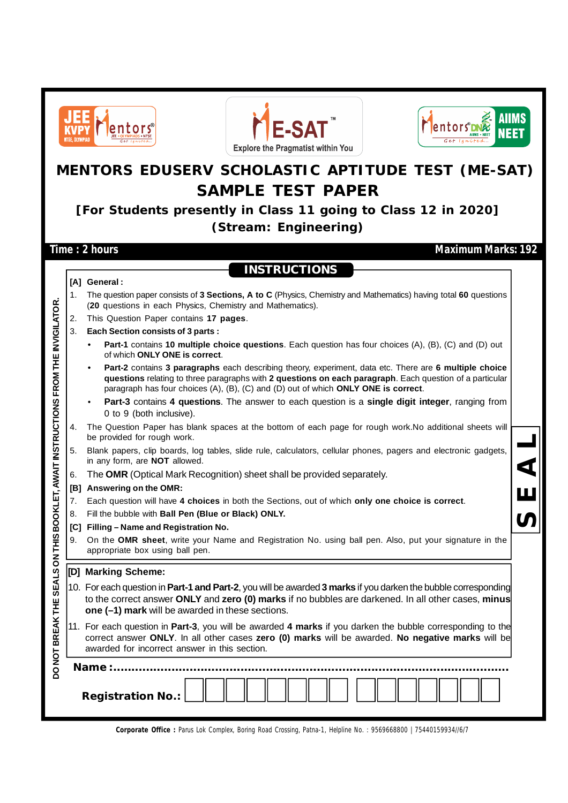





## **MENTORS EDUSERV SCHOLASTIC APTITUDE TEST (ME-SAT) SAMPLE TEST PAPER**

**[For Students presently in Class 11 going to Class 12 in 2020] (Stream: Engineering)**

**INSTRUCTIONS**

**Time : 2 hours Maximum Marks: 192** 

**S E A L**

- 1. The question paper consists of **3 Sections, A to C** (Physics, Chemistry and Mathematics) having total **60** questions (**20** questions in each Physics, Chemistry and Mathematics). 2. This Question Paper contains **17 pages**. 3. **Each Section consists of 3 parts :**
	- **• Part-1** contains **10 multiple choice questions**. Each question has four choices (A), (B), (C) and (D) out of which **ONLY ONE is correct**.
	- **• Part-2** contains **3 paragraphs** each describing theory, experiment, data etc. There are **6 multiple choice questions** relating to three paragraphs with **2 questions on each paragraph**. Each question of a particular paragraph has four choices (A), (B), (C) and (D) out of which **ONLY ONE is correct**.
	- **Part-3** contains **4 questions**. The answer to each question is a **single digit integer**, ranging from 0 to 9 (both inclusive).
- 4. The Question Paper has blank spaces at the bottom of each page for rough work.No additional sheets will be provided for rough work.
- 5. Blank papers, clip boards, log tables, slide rule, calculators, cellular phones, pagers and electronic gadgets, in any form, are **NOT** allowed.
- 6. The **OMR** (Optical Mark Recognition) sheet shall be provided separately.
- **[B] Answering on the OMR:**
- 7. Each question will have **4 choices** in both the Sections, out of which **only one choice is correct**.
- 8. Fill the bubble with **Ball Pen (Blue or Black) ONLY.**
- **[C] Filling Name and Registration No.**
- 9. On the **OMR sheet**, write your Name and Registration No. using ball pen. Also, put your signature in the appropriate box using ball pen.

#### **[D] Marking Scheme:**

- 10. For each question in **Part-1 and Part-2**, you will be awarded **3 marks** if you darken the bubble corresponding to the correct answer **ONLY** and **zero (0) marks** if no bubbles are darkened. In all other cases, **minus one (–1) mark** will be awarded in these sections.
- 11. For each question in **Part-3**, you will be awarded **4 marks** if you darken the bubble corresponding to the correct answer **ONLY**. In all other cases **zero (0) marks** will be awarded. **No negative marks** will be awarded for incorrect answer in this section.

|                                                                 |    | (20 questions in each Physics, Chemistry and Mathematics).                                                                                                                                                                                                                                                    |  |  |  |  |  |  |  |  |
|-----------------------------------------------------------------|----|---------------------------------------------------------------------------------------------------------------------------------------------------------------------------------------------------------------------------------------------------------------------------------------------------------------|--|--|--|--|--|--|--|--|
|                                                                 | 2. | This Question Paper contains 17 pages.                                                                                                                                                                                                                                                                        |  |  |  |  |  |  |  |  |
|                                                                 | 3. | Each Section consists of 3 parts :                                                                                                                                                                                                                                                                            |  |  |  |  |  |  |  |  |
|                                                                 |    | Part-1 contains 10 multiple choice questions. Each question has four choices (A), (B), (C) and (D) out<br>of which ONLY ONE is correct.                                                                                                                                                                       |  |  |  |  |  |  |  |  |
| SEALS ON THIS BOOKLET, AWAIT INSTRUCTIONS FROM THE INVIGILATOR. |    | Part-2 contains 3 paragraphs each describing theory, experiment, data etc. There are 6 multiple choice<br>٠<br>questions relating to three paragraphs with 2 questions on each paragraph. Each question of a particular<br>paragraph has four choices (A), (B), (C) and (D) out of which ONLY ONE is correct. |  |  |  |  |  |  |  |  |
|                                                                 |    | Part-3 contains 4 questions. The answer to each question is a single digit integer, ranging from<br>$\bullet$<br>0 to 9 (both inclusive).                                                                                                                                                                     |  |  |  |  |  |  |  |  |
|                                                                 | 4. | The Question Paper has blank spaces at the bottom of each page for rough work.No additional sheets will<br>be provided for rough work.                                                                                                                                                                        |  |  |  |  |  |  |  |  |
|                                                                 | 5. | Blank papers, clip boards, log tables, slide rule, calculators, cellular phones, pagers and electronic gadgets,<br>in any form, are NOT allowed.                                                                                                                                                              |  |  |  |  |  |  |  |  |
|                                                                 | 6. | The OMR (Optical Mark Recognition) sheet shall be provided separately.                                                                                                                                                                                                                                        |  |  |  |  |  |  |  |  |
|                                                                 |    | [B] Answering on the OMR:                                                                                                                                                                                                                                                                                     |  |  |  |  |  |  |  |  |
|                                                                 | 7. | Each question will have 4 choices in both the Sections, out of which only one choice is correct.                                                                                                                                                                                                              |  |  |  |  |  |  |  |  |
|                                                                 | 8. | Fill the bubble with Ball Pen (Blue or Black) ONLY.                                                                                                                                                                                                                                                           |  |  |  |  |  |  |  |  |
|                                                                 |    | [C] Filling - Name and Registration No.                                                                                                                                                                                                                                                                       |  |  |  |  |  |  |  |  |
|                                                                 | 9. | On the OMR sheet, write your Name and Registration No. using ball pen. Also, put your signature in the<br>appropriate box using ball pen.                                                                                                                                                                     |  |  |  |  |  |  |  |  |
|                                                                 |    | [D] Marking Scheme:                                                                                                                                                                                                                                                                                           |  |  |  |  |  |  |  |  |
|                                                                 |    | 10. For each question in Part-1 and Part-2, you will be awarded 3 marks if you darken the bubble corresponding<br>to the correct answer ONLY and zero (0) marks if no bubbles are darkened. In all other cases, minus<br>one (-1) mark will be awarded in these sections.                                     |  |  |  |  |  |  |  |  |
| DO NOT BREAK THE                                                |    | 11. For each question in Part-3, you will be awarded 4 marks if you darken the bubble corresponding to the<br>correct answer ONLY. In all other cases zero (0) marks will be awarded. No negative marks will be<br>awarded for incorrect answer in this section.                                              |  |  |  |  |  |  |  |  |
|                                                                 |    | Name:                                                                                                                                                                                                                                                                                                         |  |  |  |  |  |  |  |  |
|                                                                 |    | <b>Registration No.:</b>                                                                                                                                                                                                                                                                                      |  |  |  |  |  |  |  |  |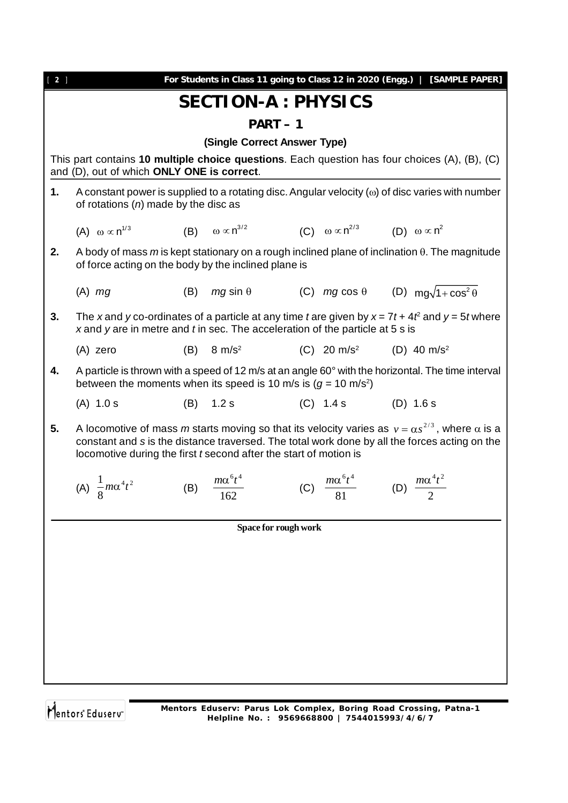| $[2]$ |                                                                                                                                                                                                                                                                                      |     | For Students in Class 11 going to Class 12 in 2020 (Engg.)   [SAMPLE PAPER]        |  |                                               |                               |  |  |  |
|-------|--------------------------------------------------------------------------------------------------------------------------------------------------------------------------------------------------------------------------------------------------------------------------------------|-----|------------------------------------------------------------------------------------|--|-----------------------------------------------|-------------------------------|--|--|--|
|       |                                                                                                                                                                                                                                                                                      |     | <b>SECTION-A : PHYSICS</b>                                                         |  |                                               |                               |  |  |  |
|       | $PART-1$                                                                                                                                                                                                                                                                             |     |                                                                                    |  |                                               |                               |  |  |  |
|       |                                                                                                                                                                                                                                                                                      |     | (Single Correct Answer Type)                                                       |  |                                               |                               |  |  |  |
|       | This part contains 10 multiple choice questions. Each question has four choices (A), (B), (C)                                                                                                                                                                                        |     |                                                                                    |  |                                               |                               |  |  |  |
|       | and (D), out of which ONLY ONE is correct.                                                                                                                                                                                                                                           |     |                                                                                    |  |                                               |                               |  |  |  |
| 1.    | A constant power is supplied to a rotating disc. Angular velocity ( $\omega$ ) of disc varies with number<br>of rotations $(n)$ made by the disc as                                                                                                                                  |     |                                                                                    |  |                                               |                               |  |  |  |
|       | (A) $\omega \propto n^{1/3}$                                                                                                                                                                                                                                                         |     | (B) $\omega \propto n^{3/2}$ (C) $\omega \propto n^{2/3}$ (D) $\omega \propto n^2$ |  |                                               |                               |  |  |  |
| 2.    | A body of mass $m$ is kept stationary on a rough inclined plane of inclination $\theta$ . The magnitude<br>of force acting on the body by the inclined plane is                                                                                                                      |     |                                                                                    |  |                                               |                               |  |  |  |
|       | $(A)$ mg                                                                                                                                                                                                                                                                             |     | (B) $mg \sin \theta$ (C) $mg \cos \theta$ (D) $mg\sqrt{1+\cos^2 \theta}$           |  |                                               |                               |  |  |  |
| 3.    | The x and y co-ordinates of a particle at any time t are given by $x = 7t + 4t^2$ and $y = 5t$ where<br>x and y are in metre and $t$ in sec. The acceleration of the particle at $5 s$ is                                                                                            |     |                                                                                    |  |                                               |                               |  |  |  |
|       | (A) zero                                                                                                                                                                                                                                                                             |     | $(B)$ 8 m/s <sup>2</sup>                                                           |  | (C) $20 \text{ m/s}^2$ (D) $40 \text{ m/s}^2$ |                               |  |  |  |
| 4.    | A particle is thrown with a speed of 12 m/s at an angle 60° with the horizontal. The time interval<br>between the moments when its speed is 10 m/s is $(g = 10 \text{ m/s}^2)$                                                                                                       |     |                                                                                    |  |                                               |                               |  |  |  |
|       | $(A)$ 1.0 s                                                                                                                                                                                                                                                                          | (B) | 1.2 s                                                                              |  | $(C)$ 1.4 s $(D)$ 1.6 s                       |                               |  |  |  |
| 5.    | A locomotive of mass m starts moving so that its velocity varies as $v = \alpha s^{2/3}$ , where $\alpha$ is a<br>constant and s is the distance traversed. The total work done by all the forces acting on the<br>locomotive during the first t second after the start of motion is |     |                                                                                    |  |                                               |                               |  |  |  |
|       | (A) $\frac{1}{8} m \alpha^4 t^2$                                                                                                                                                                                                                                                     | (B) | $\frac{m\alpha^6 t^4}{162}$                                                        |  | (C) $\frac{m\alpha^6 t^4}{81}$                | (D) $\frac{m\alpha^4 t^2}{2}$ |  |  |  |
|       |                                                                                                                                                                                                                                                                                      |     | <b>Space for rough work</b>                                                        |  |                                               |                               |  |  |  |
|       |                                                                                                                                                                                                                                                                                      |     |                                                                                    |  |                                               |                               |  |  |  |
|       |                                                                                                                                                                                                                                                                                      |     |                                                                                    |  |                                               |                               |  |  |  |
|       |                                                                                                                                                                                                                                                                                      |     |                                                                                    |  |                                               |                               |  |  |  |
|       |                                                                                                                                                                                                                                                                                      |     |                                                                                    |  |                                               |                               |  |  |  |
|       |                                                                                                                                                                                                                                                                                      |     |                                                                                    |  |                                               |                               |  |  |  |
|       |                                                                                                                                                                                                                                                                                      |     |                                                                                    |  |                                               |                               |  |  |  |
|       |                                                                                                                                                                                                                                                                                      |     |                                                                                    |  |                                               |                               |  |  |  |
|       |                                                                                                                                                                                                                                                                                      |     |                                                                                    |  |                                               |                               |  |  |  |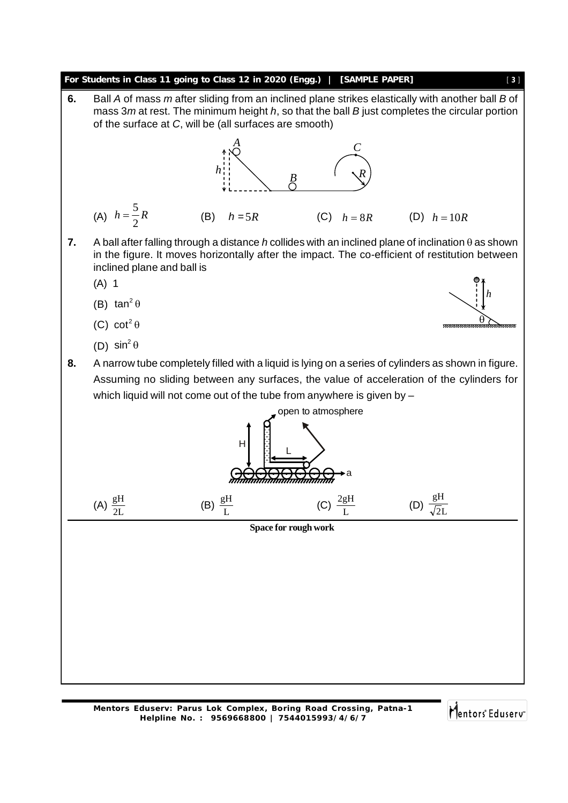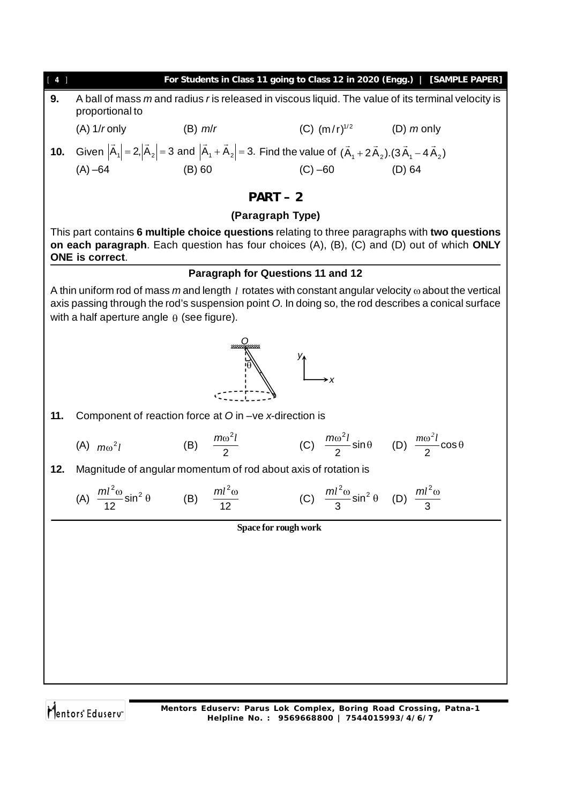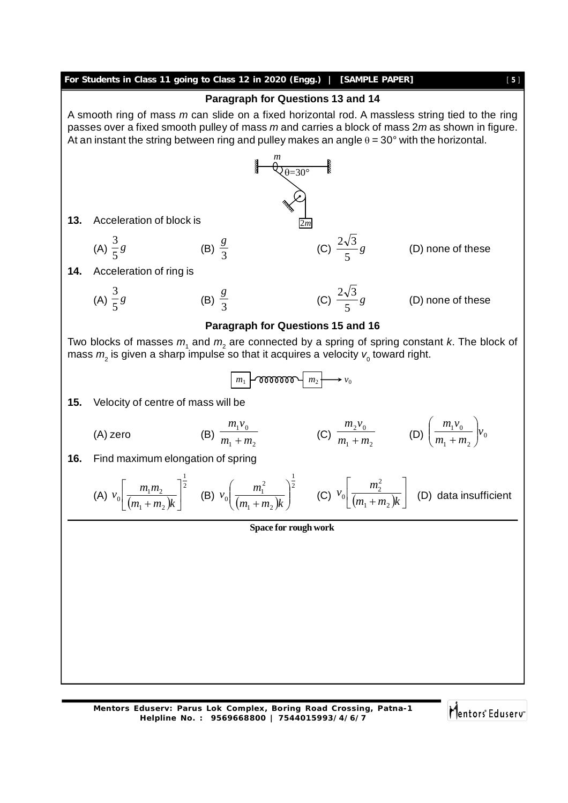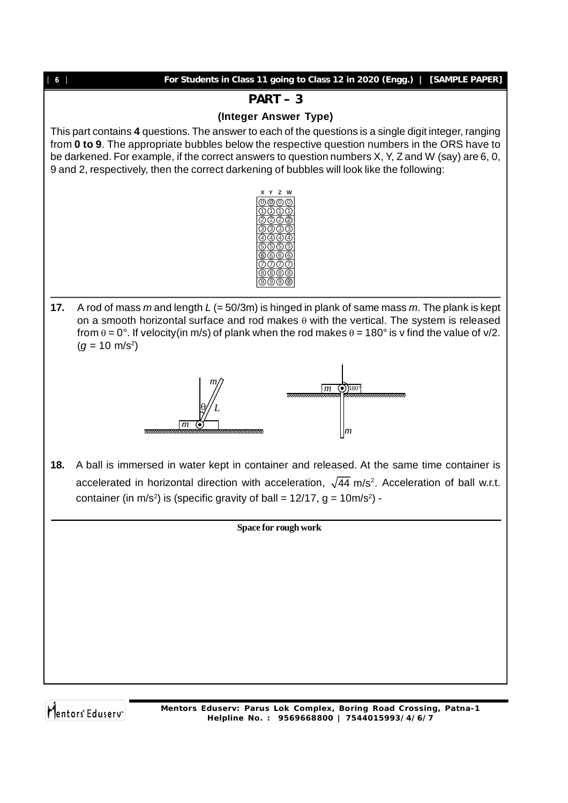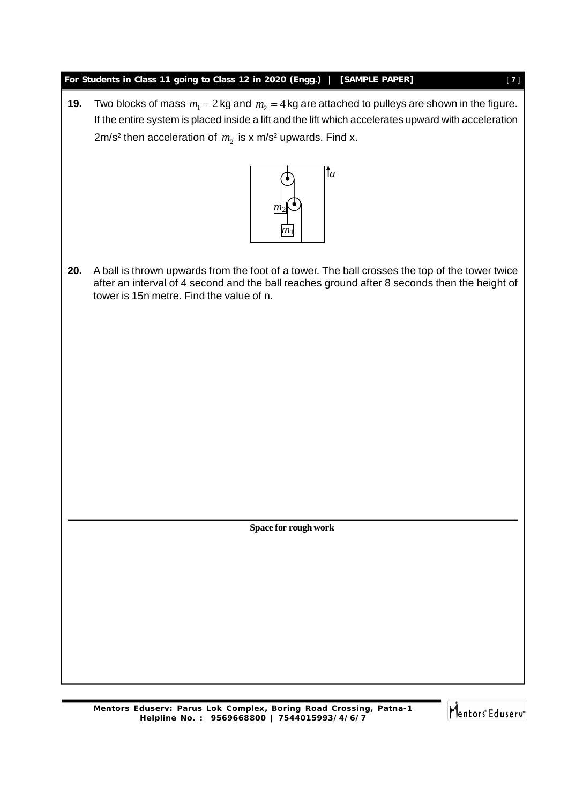#### **For Students in Class 11 going to Class 12 in 2020 (Engg.) | [SAMPLE PAPER]** [ **7** ]

**19.** Two blocks of mass  $m_1 = 2$  kg and  $m_2 = 4$  kg are attached to pulleys are shown in the figure. If the entire system is placed inside a lift and the lift which accelerates upward with acceleration 2m/s<sup>2</sup> then acceleration of  $m_{_2}$  is x m/s<sup>2</sup> upwards. Find x.



**20.** A ball is thrown upwards from the foot of a tower. The ball crosses the top of the tower twice after an interval of 4 second and the ball reaches ground after 8 seconds then the height of tower is 15n metre. Find the value of n.

**Space for rough work**

**Mentors Eduserv: Parus Lok Complex, Boring Road Crossing, Patna-1 Helpline No. : 9569668800 | 7544015993/4/6/7**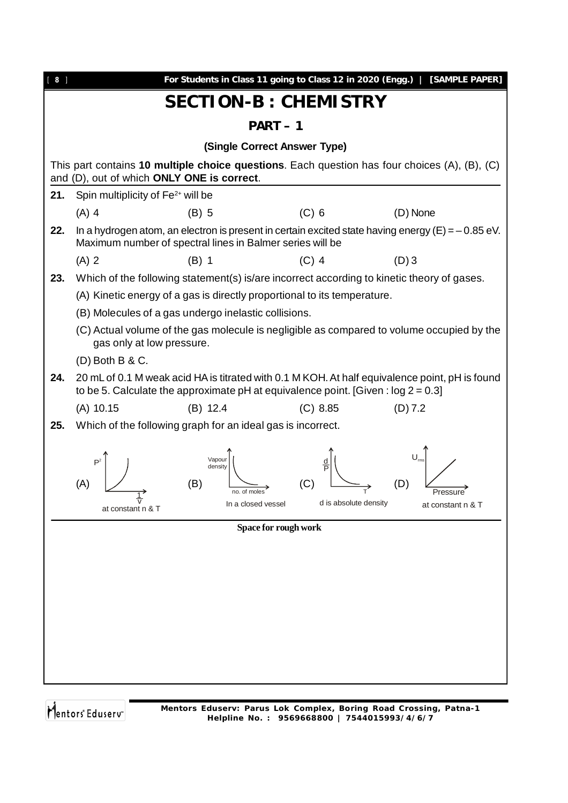| $[ 8 ]$ | For Students in Class 11 going to Class 12 in 2020 (Engg.)   [SAMPLE PAPER]                                                                                                            |  |  |  |  |  |  |  |  |  |
|---------|----------------------------------------------------------------------------------------------------------------------------------------------------------------------------------------|--|--|--|--|--|--|--|--|--|
|         | <b>SECTION-B: CHEMISTRY</b>                                                                                                                                                            |  |  |  |  |  |  |  |  |  |
|         | $PART-1$                                                                                                                                                                               |  |  |  |  |  |  |  |  |  |
|         | (Single Correct Answer Type)                                                                                                                                                           |  |  |  |  |  |  |  |  |  |
|         | This part contains 10 multiple choice questions. Each question has four choices $(A)$ , $(B)$ , $(C)$                                                                                  |  |  |  |  |  |  |  |  |  |
|         | and (D), out of which ONLY ONE is correct.                                                                                                                                             |  |  |  |  |  |  |  |  |  |
| 21.     | Spin multiplicity of Fe <sup>2+</sup> will be                                                                                                                                          |  |  |  |  |  |  |  |  |  |
| 22.     | $(C)$ 6<br>$(A)$ 4<br>$(B)$ 5<br>(D) None                                                                                                                                              |  |  |  |  |  |  |  |  |  |
|         | In a hydrogen atom, an electron is present in certain excited state having energy ( $E$ ) = -0.85 eV.<br>Maximum number of spectral lines in Balmer series will be                     |  |  |  |  |  |  |  |  |  |
|         | $(A)$ 2<br>$(C)$ 4<br>$(D)$ 3<br>$(B)$ 1                                                                                                                                               |  |  |  |  |  |  |  |  |  |
| 23.     | Which of the following statement(s) is/are incorrect according to kinetic theory of gases.                                                                                             |  |  |  |  |  |  |  |  |  |
|         | (A) Kinetic energy of a gas is directly proportional to its temperature.                                                                                                               |  |  |  |  |  |  |  |  |  |
|         | (B) Molecules of a gas undergo inelastic collisions.                                                                                                                                   |  |  |  |  |  |  |  |  |  |
|         | (C) Actual volume of the gas molecule is negligible as compared to volume occupied by the<br>gas only at low pressure.                                                                 |  |  |  |  |  |  |  |  |  |
|         | $(D)$ Both B & C.                                                                                                                                                                      |  |  |  |  |  |  |  |  |  |
| 24.     | 20 mL of 0.1 M weak acid HA is titrated with 0.1 M KOH. At half equivalence point, pH is found<br>to be 5. Calculate the approximate pH at equivalence point. [Given : $log 2 = 0.3$ ] |  |  |  |  |  |  |  |  |  |
|         | $(A)$ 10.15<br>(C) 8.85<br>(D) 7.2<br>$(B)$ 12.4                                                                                                                                       |  |  |  |  |  |  |  |  |  |
| 25.     | Which of the following graph for an ideal gas is incorrect.                                                                                                                            |  |  |  |  |  |  |  |  |  |
|         | Vapour<br>음<br>density<br>(A)                                                                                                                                                          |  |  |  |  |  |  |  |  |  |
|         | (B)<br>no. of moles                                                                                                                                                                    |  |  |  |  |  |  |  |  |  |
|         | d is absolute density<br>In a closed vessel<br>at constant n & T<br>at constant n & T                                                                                                  |  |  |  |  |  |  |  |  |  |
|         | Space for rough work                                                                                                                                                                   |  |  |  |  |  |  |  |  |  |
|         |                                                                                                                                                                                        |  |  |  |  |  |  |  |  |  |
|         |                                                                                                                                                                                        |  |  |  |  |  |  |  |  |  |
|         |                                                                                                                                                                                        |  |  |  |  |  |  |  |  |  |
|         |                                                                                                                                                                                        |  |  |  |  |  |  |  |  |  |
|         |                                                                                                                                                                                        |  |  |  |  |  |  |  |  |  |
|         |                                                                                                                                                                                        |  |  |  |  |  |  |  |  |  |
|         |                                                                                                                                                                                        |  |  |  |  |  |  |  |  |  |
|         |                                                                                                                                                                                        |  |  |  |  |  |  |  |  |  |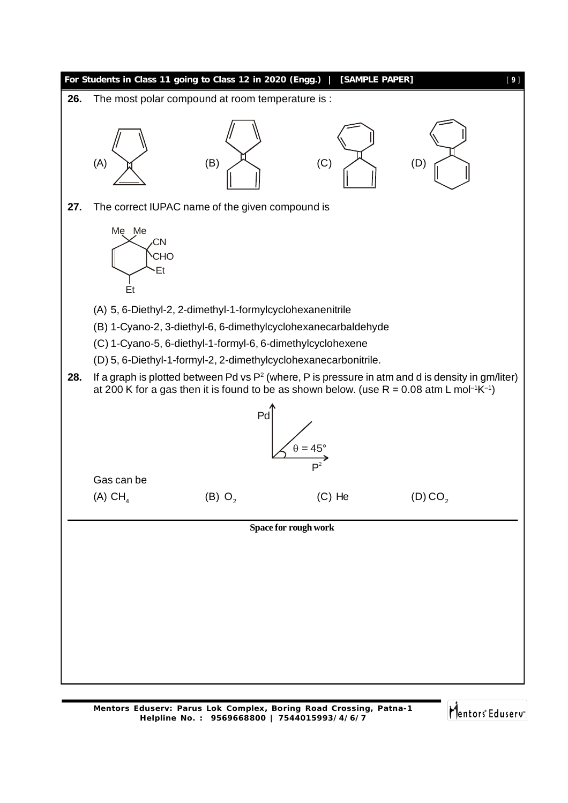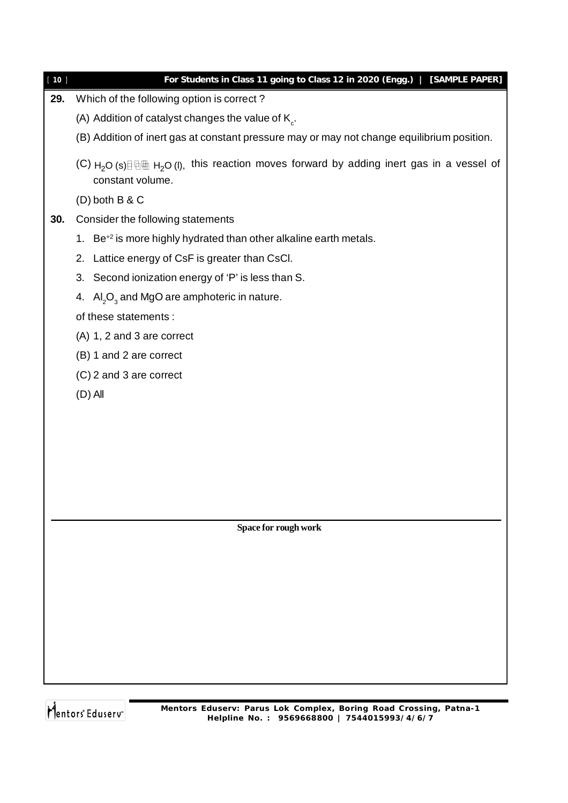| $10$ ]<br>29. | For Students in Class 11 going to Class 12 in 2020 (Engg.)   [SAMPLE PAPER]<br>Which of the following option is correct?    |
|---------------|-----------------------------------------------------------------------------------------------------------------------------|
|               |                                                                                                                             |
|               | (A) Addition of catalyst changes the value of $K_c$ .                                                                       |
|               | (B) Addition of inert gas at constant pressure may or may not change equilibrium position.                                  |
|               | (C) $H_2O$ (s) $\Box$ $\Box$ $H_2O$ (I), this reaction moves forward by adding inert gas in a vessel of<br>constant volume. |
|               | $(D)$ both B & C                                                                                                            |
| 30.           | Consider the following statements                                                                                           |
|               | Be <sup>+2</sup> is more highly hydrated than other alkaline earth metals.<br>1.                                            |
|               | Lattice energy of CsF is greater than CsCl.<br>2.                                                                           |
|               | 3. Second ionization energy of 'P' is less than S.                                                                          |
|               | 4. $\text{Al}_2\text{O}_3$ and MgO are amphoteric in nature.                                                                |
|               | of these statements :                                                                                                       |
|               | (A) 1, 2 and 3 are correct                                                                                                  |
|               | (B) 1 and 2 are correct                                                                                                     |
|               | (C) 2 and 3 are correct                                                                                                     |
|               | $(D)$ All                                                                                                                   |
|               |                                                                                                                             |
|               |                                                                                                                             |
|               |                                                                                                                             |
|               |                                                                                                                             |
|               |                                                                                                                             |
|               |                                                                                                                             |
|               | Space for rough work                                                                                                        |
|               |                                                                                                                             |
|               |                                                                                                                             |

Mentors<sup>®</sup> Eduserv<sup>®</sup>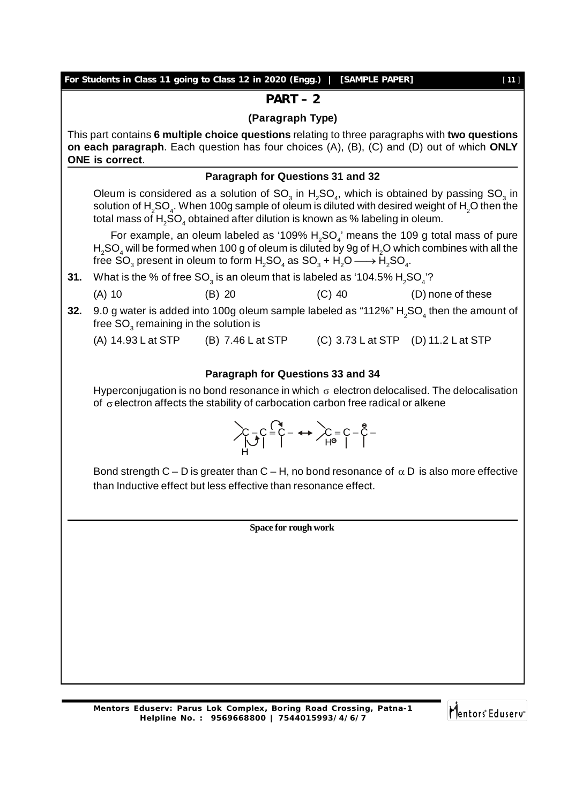|     |                                                                                                                                                                                                                       | For Students in Class 11 going to Class 12 in 2020 (Engg.)   [SAMPLE PAPER]                                                                                                                                                                            |  | [11]                                                                                                                                                                                                                                   |  |  |  |  |
|-----|-----------------------------------------------------------------------------------------------------------------------------------------------------------------------------------------------------------------------|--------------------------------------------------------------------------------------------------------------------------------------------------------------------------------------------------------------------------------------------------------|--|----------------------------------------------------------------------------------------------------------------------------------------------------------------------------------------------------------------------------------------|--|--|--|--|
|     | $PART-2$                                                                                                                                                                                                              |                                                                                                                                                                                                                                                        |  |                                                                                                                                                                                                                                        |  |  |  |  |
|     | (Paragraph Type)                                                                                                                                                                                                      |                                                                                                                                                                                                                                                        |  |                                                                                                                                                                                                                                        |  |  |  |  |
|     | This part contains 6 multiple choice questions relating to three paragraphs with two questions<br>on each paragraph. Each question has four choices (A), (B), (C) and (D) out of which ONLY<br><b>ONE</b> is correct. |                                                                                                                                                                                                                                                        |  |                                                                                                                                                                                                                                        |  |  |  |  |
|     |                                                                                                                                                                                                                       | Paragraph for Questions 31 and 32                                                                                                                                                                                                                      |  |                                                                                                                                                                                                                                        |  |  |  |  |
|     |                                                                                                                                                                                                                       | total mass of $H_2SO_4$ obtained after dilution is known as % labeling in oleum.                                                                                                                                                                       |  | Oleum is considered as a solution of $SO_3$ in H <sub>2</sub> SO <sub>4</sub> , which is obtained by passing SO <sub>3</sub> in<br>solution of $H_2SO_4$ . When 100g sample of oleum is diluted with desired weight of $H_2O$ then the |  |  |  |  |
|     |                                                                                                                                                                                                                       | free SO <sub>3</sub> present in oleum to form $H_2SO_4$ as $SO_3 + H_2O \longrightarrow \tilde{H}_2SO_4$ .                                                                                                                                             |  | For example, an oleum labeled as '109% $H_2SO_4$ ' means the 109 g total mass of pure<br>$H2SO4$ will be formed when 100 g of oleum is diluted by 9g of $H2O$ which combines with all the                                              |  |  |  |  |
| 31. |                                                                                                                                                                                                                       | What is the % of free SO <sub>3</sub> is an oleum that is labeled as '104.5% $H_2$ SO <sub>4</sub> '?                                                                                                                                                  |  |                                                                                                                                                                                                                                        |  |  |  |  |
|     | $(A)$ 10                                                                                                                                                                                                              | $(B)$ 20                                                                                                                                                                                                                                               |  | (C) 40 (D) none of these                                                                                                                                                                                                               |  |  |  |  |
| 32. | free $SO3$ remaining in the solution is                                                                                                                                                                               |                                                                                                                                                                                                                                                        |  | 9.0 g water is added into 100g oleum sample labeled as "112%" $H_2SO_4$ then the amount of                                                                                                                                             |  |  |  |  |
|     |                                                                                                                                                                                                                       | (A) 14.93 L at STP (B) 7.46 L at STP (C) 3.73 L at STP (D) 11.2 L at STP                                                                                                                                                                               |  |                                                                                                                                                                                                                                        |  |  |  |  |
|     |                                                                                                                                                                                                                       |                                                                                                                                                                                                                                                        |  |                                                                                                                                                                                                                                        |  |  |  |  |
|     |                                                                                                                                                                                                                       | Paragraph for Questions 33 and 34                                                                                                                                                                                                                      |  |                                                                                                                                                                                                                                        |  |  |  |  |
|     |                                                                                                                                                                                                                       | of $\sigma$ electron affects the stability of carbocation carbon free radical or alkene                                                                                                                                                                |  | Hyperconjugation is no bond resonance in which $\sigma$ electron delocalised. The delocalisation                                                                                                                                       |  |  |  |  |
|     |                                                                                                                                                                                                                       | $\sum_{\begin{subarray}{c}\downarrow\\ \downarrow\end{subarray}} C = \begin{subarray}{c}\uparrow\\ C \end{subarray} \longrightarrow \sum_{\begin{subarray}{c}\uparrow\\ H^{\oplus} \end{subarray}} C = \begin{subarray}{c}\uparrow\\ C \end{subarray}$ |  |                                                                                                                                                                                                                                        |  |  |  |  |
|     |                                                                                                                                                                                                                       | than Inductive effect but less effective than resonance effect.                                                                                                                                                                                        |  | Bond strength C – D is greater than C – H, no bond resonance of $\alpha$ D is also more effective                                                                                                                                      |  |  |  |  |
|     |                                                                                                                                                                                                                       |                                                                                                                                                                                                                                                        |  |                                                                                                                                                                                                                                        |  |  |  |  |
|     |                                                                                                                                                                                                                       | Space for rough work                                                                                                                                                                                                                                   |  |                                                                                                                                                                                                                                        |  |  |  |  |
|     |                                                                                                                                                                                                                       |                                                                                                                                                                                                                                                        |  |                                                                                                                                                                                                                                        |  |  |  |  |
|     |                                                                                                                                                                                                                       |                                                                                                                                                                                                                                                        |  |                                                                                                                                                                                                                                        |  |  |  |  |
|     |                                                                                                                                                                                                                       |                                                                                                                                                                                                                                                        |  |                                                                                                                                                                                                                                        |  |  |  |  |
|     |                                                                                                                                                                                                                       |                                                                                                                                                                                                                                                        |  |                                                                                                                                                                                                                                        |  |  |  |  |
|     |                                                                                                                                                                                                                       |                                                                                                                                                                                                                                                        |  |                                                                                                                                                                                                                                        |  |  |  |  |
|     |                                                                                                                                                                                                                       |                                                                                                                                                                                                                                                        |  |                                                                                                                                                                                                                                        |  |  |  |  |
|     |                                                                                                                                                                                                                       |                                                                                                                                                                                                                                                        |  |                                                                                                                                                                                                                                        |  |  |  |  |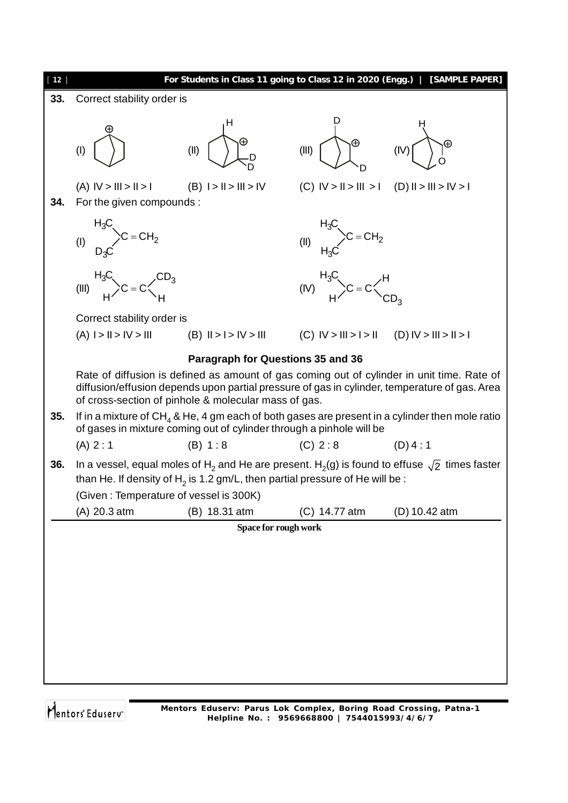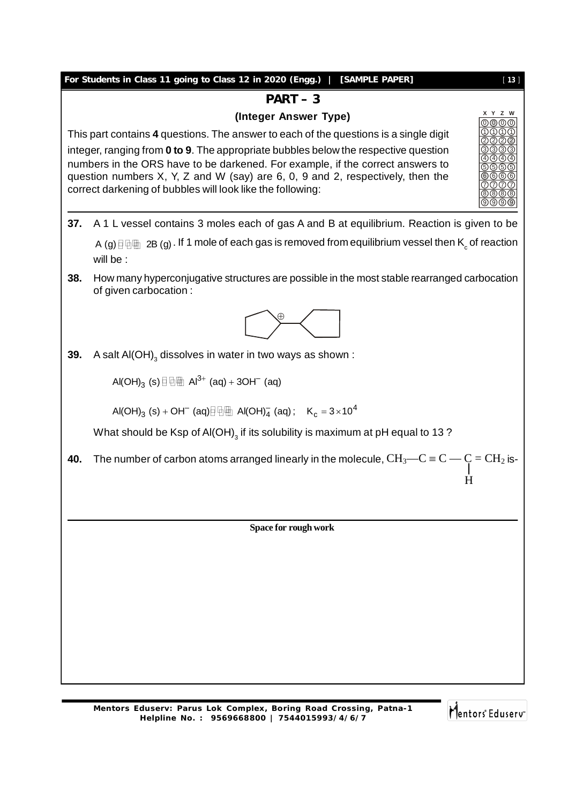### **For Students in Class 11 going to Class 12 in 2020 (Engg.) | [SAMPLE PAPER]** [ **13** ]

#### **PART – 3**

#### **(Integer Answer Type)**

This part contains **4** questions. The answer to each of the questions is a single digit integer, ranging from **0 to 9**. The appropriate bubbles below the respective question numbers in the ORS have to be darkened. For example, if the correct answers to question numbers X, Y, Z and W (say) are 6, 0, 9 and 2, respectively, then the correct darkening of bubbles will look like the following:

- **37.** A 1 L vessel contains 3 moles each of gas A and B at equilibrium. Reaction is given to be A (g)  $\boxplus$   $\boxplus$   $\cong$  2B (g)  $.$  If 1 mole of each gas is removed from equilibrium vessel then  $\mathsf{K}_{\rm c}$  of reaction will be :
- **38.** How many hyperconjugative structures are possible in the most stable rearranged carbocation of given carbocation :



**39.** A salt Al(OH) $_3$  dissolves in water in two ways as shown :

Al(OH) $_3$  (s) $\boxplus\boxplus$  Al $^{3+}$  (aq) + 3OH $^-$  (aq)

 $\text{Al(OH)}_{3} \text{ (s)} + \text{OH}^{-} \text{ (aq)} \text{ and } \text{Al(OH)}_{4}^{-} \text{ (aq)}; \text{ K}_{c} = 3 \times 10^{4}$ 

What should be Ksp of Al(OH) $_{\scriptscriptstyle{3}}$  if its solubility is maximum at pH equal to 13 ?

**40.** The number of carbon atoms arranged linearly in the molecule,  $\rm CH_3—C \equiv C \rightarrow C = CH_2$  is-

**Space for rough work**

Mentors Eduserv

H

0 0 0 1) (1) (1  $2)(2)(2)$ 3) (3) (3 4 4 4 5) (5) (5 6 (6 7) (7) (7 8 (8 (8 9) (9) (9

**X Y Z W**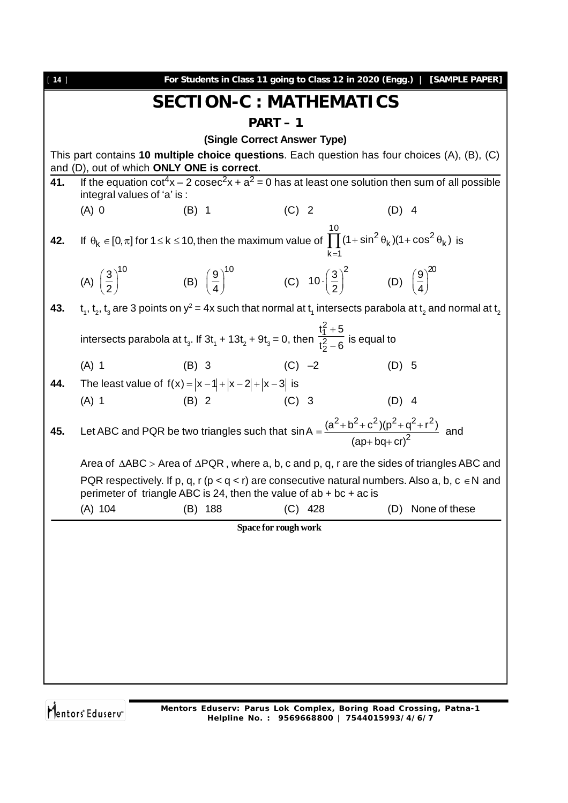| $[14]$ |                            | For Students in Class 11 going to Class 12 in 2020 (Engg.)                                                                                                                 |                              |                   | [SAMPLE PAPER] |
|--------|----------------------------|----------------------------------------------------------------------------------------------------------------------------------------------------------------------------|------------------------------|-------------------|----------------|
|        |                            | <b>SECTION-C : MATHEMATICS</b>                                                                                                                                             |                              |                   |                |
|        |                            |                                                                                                                                                                            | $PART-1$                     |                   |                |
|        |                            |                                                                                                                                                                            | (Single Correct Answer Type) |                   |                |
|        |                            | This part contains 10 multiple choice questions. Each question has four choices (A), (B), (C)                                                                              |                              |                   |                |
| 41.    |                            | and (D), out of which ONLY ONE is correct.<br>If the equation $cot^4x - 2csc^2x + a^2 = 0$ has at least one solution then sum of all possible                              |                              |                   |                |
|        | integral values of 'a' is: |                                                                                                                                                                            |                              |                   |                |
|        | $(A)$ 0                    | $(B)$ 1                                                                                                                                                                    | $(C)$ 2                      | $(D)$ 4           |                |
| 42.    |                            | If $\theta_k \in [0,\pi]$ for $1 \le k \le 10$ , then the maximum value of $\prod_{k=1}^{n} (1 + \sin^2 \theta_k)(1 + \cos^2 \theta_k)$ is                                 | $k=1$                        |                   |                |
|        |                            | (A) $\left(\frac{3}{2}\right)^{10}$ (B) $\left(\frac{9}{4}\right)^{10}$ (C) $10 \cdot \left(\frac{3}{2}\right)^{2}$ (D) $\left(\frac{9}{4}\right)^{20}$                    |                              |                   |                |
| 43.    |                            | $t_1$ , $t_2$ , $t_3$ are 3 points on $y^2 = 4x$ such that normal at $t_1$ intersects parabola at $t_2$ and normal at $t_2$                                                |                              |                   |                |
|        |                            | intersects parabola at t <sub>3</sub> . If 3t <sub>1</sub> + 13t <sub>2</sub> + 9t <sub>3</sub> = 0, then $\frac{t_1^2 + 5}{t_2^2 - 6}$ is equal to                        |                              |                   |                |
|        | $(A)$ 1                    | (B) 3 (C) $-2$                                                                                                                                                             |                              | $(D)$ 5           |                |
| 44.    |                            | The least value of $f(x) =  x-1  +  x-2  +  x-3 $ is                                                                                                                       |                              |                   |                |
|        | $(A)$ 1                    | (B) 2 (C) 3                                                                                                                                                                |                              | $(D)$ 4           |                |
| 45.    |                            | Let ABC and PQR be two triangles such that $sin A = \frac{(a^2 + b^2 + c^2)(p^2 + q^2 + r^2)}{(an + bn + cr)^2}$ and                                                       |                              |                   |                |
|        |                            | Area of $\triangle ABC$ > Area of $\triangle PQR$ , where a, b, c and p, q, r are the sides of triangles ABC and                                                           |                              |                   |                |
|        |                            | PQR respectively. If p, q, r (p < q < r) are consecutive natural numbers. Also a, b, c $\in$ N and<br>perimeter of triangle ABC is 24, then the value of $ab + bc + ac$ is |                              |                   |                |
|        | $(A)$ 104                  | $(B)$ 188                                                                                                                                                                  | $(C)$ 428                    | (D) None of these |                |
|        |                            |                                                                                                                                                                            | Space for rough work         |                   |                |
|        |                            |                                                                                                                                                                            |                              |                   |                |
|        |                            |                                                                                                                                                                            |                              |                   |                |
|        |                            |                                                                                                                                                                            |                              |                   |                |
|        |                            |                                                                                                                                                                            |                              |                   |                |
|        |                            |                                                                                                                                                                            |                              |                   |                |
|        |                            |                                                                                                                                                                            |                              |                   |                |
|        |                            |                                                                                                                                                                            |                              |                   |                |
|        |                            |                                                                                                                                                                            |                              |                   |                |
|        |                            |                                                                                                                                                                            |                              |                   |                |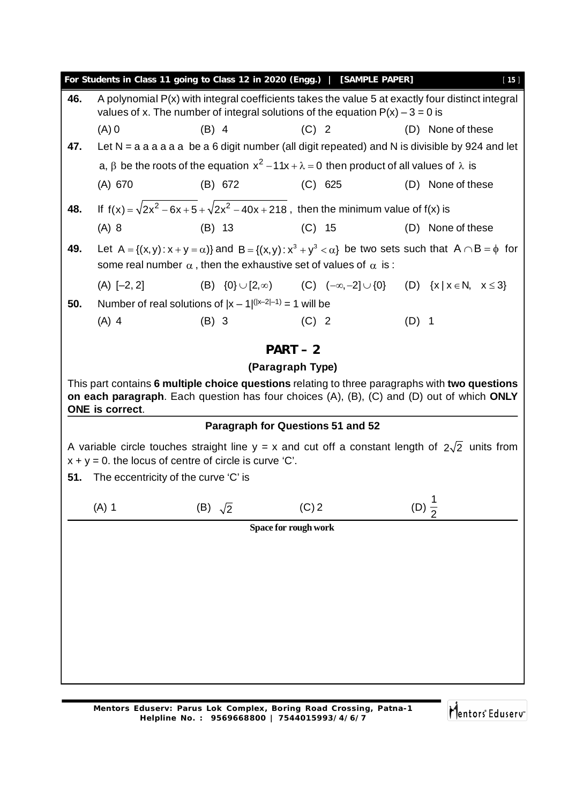|     |                                                           |                                                                               | For Students in Class 11 going to Class 12 in 2020 (Engg.)   [SAMPLE PAPER]                                  | [15]                                                                                                                                                                                        |
|-----|-----------------------------------------------------------|-------------------------------------------------------------------------------|--------------------------------------------------------------------------------------------------------------|---------------------------------------------------------------------------------------------------------------------------------------------------------------------------------------------|
| 46. |                                                           |                                                                               | values of x. The number of integral solutions of the equation $P(x) - 3 = 0$ is                              | A polynomial P(x) with integral coefficients takes the value 5 at exactly four distinct integral                                                                                            |
|     | $(A)$ 0                                                   | $(B)$ 4                                                                       | $(C)$ 2                                                                                                      | (D) None of these                                                                                                                                                                           |
| 47. |                                                           |                                                                               |                                                                                                              | Let $N = a a a a a b e a 6$ digit number (all digit repeated) and N is divisible by 924 and let                                                                                             |
|     |                                                           |                                                                               | a, $\beta$ be the roots of the equation $x^2 - 11x + \lambda = 0$ then product of all values of $\lambda$ is |                                                                                                                                                                                             |
|     | (A) 670                                                   | (B) 672                                                                       | (C) 625                                                                                                      | (D) None of these                                                                                                                                                                           |
| 48. |                                                           |                                                                               | If $f(x) = \sqrt{2x^2 - 6x + 5} + \sqrt{2x^2 - 40x + 218}$ , then the minimum value of $f(x)$ is             |                                                                                                                                                                                             |
|     | $(A)$ 8                                                   | $(B)$ 13                                                                      | $(C)$ 15                                                                                                     | (D) None of these                                                                                                                                                                           |
| 49. |                                                           | some real number $\alpha$ , then the exhaustive set of values of $\alpha$ is: |                                                                                                              | Let $A = \{(x, y): x + y = \alpha\}$ and $B = \{(x, y): x^3 + y^3 < \alpha\}$ be two sets such that $A \cap B = \phi$ for                                                                   |
|     | $(A)$ [-2, 2]                                             |                                                                               |                                                                                                              | (B) $\{0\} \cup [2,\infty)$ (C) $(-\infty,-2] \cup \{0\}$ (D) $\{x \mid x \in N, x \le 3\}$                                                                                                 |
| 50. |                                                           | Number of real solutions of $ x - 1 ^{( x-2 -1)} = 1$ will be                 |                                                                                                              |                                                                                                                                                                                             |
|     | $(A)$ 4                                                   | $(B)$ 3                                                                       | $(C)$ 2                                                                                                      | $(D)$ 1                                                                                                                                                                                     |
|     |                                                           | $PART-2$                                                                      |                                                                                                              |                                                                                                                                                                                             |
|     |                                                           | (Paragraph Type)                                                              |                                                                                                              |                                                                                                                                                                                             |
|     | ONE is correct.                                           |                                                                               |                                                                                                              | This part contains 6 multiple choice questions relating to three paragraphs with two questions<br>on each paragraph. Each question has four choices (A), (B), (C) and (D) out of which ONLY |
|     |                                                           | Paragraph for Questions 51 and 52                                             |                                                                                                              |                                                                                                                                                                                             |
|     | $x + y = 0$ . the locus of centre of circle is curve 'C'. |                                                                               |                                                                                                              | A variable circle touches straight line $y = x$ and cut off a constant length of $2\sqrt{2}$ units from                                                                                     |
|     | <b>51.</b> The eccentricity of the curve 'C' is           |                                                                               |                                                                                                              |                                                                                                                                                                                             |
|     | $(A)$ 1                                                   | (B) $\sqrt{2}$                                                                | $(C)$ 2                                                                                                      | (D) $\frac{1}{2}$                                                                                                                                                                           |
|     |                                                           | Space for rough work                                                          |                                                                                                              |                                                                                                                                                                                             |
|     |                                                           |                                                                               |                                                                                                              |                                                                                                                                                                                             |
|     |                                                           |                                                                               |                                                                                                              |                                                                                                                                                                                             |
|     |                                                           |                                                                               |                                                                                                              |                                                                                                                                                                                             |
|     |                                                           |                                                                               |                                                                                                              |                                                                                                                                                                                             |
|     |                                                           |                                                                               |                                                                                                              |                                                                                                                                                                                             |
|     |                                                           |                                                                               |                                                                                                              |                                                                                                                                                                                             |
|     |                                                           |                                                                               |                                                                                                              |                                                                                                                                                                                             |
|     |                                                           |                                                                               |                                                                                                              |                                                                                                                                                                                             |

Mentors<sup>e</sup> Eduserv<sup>-</sup>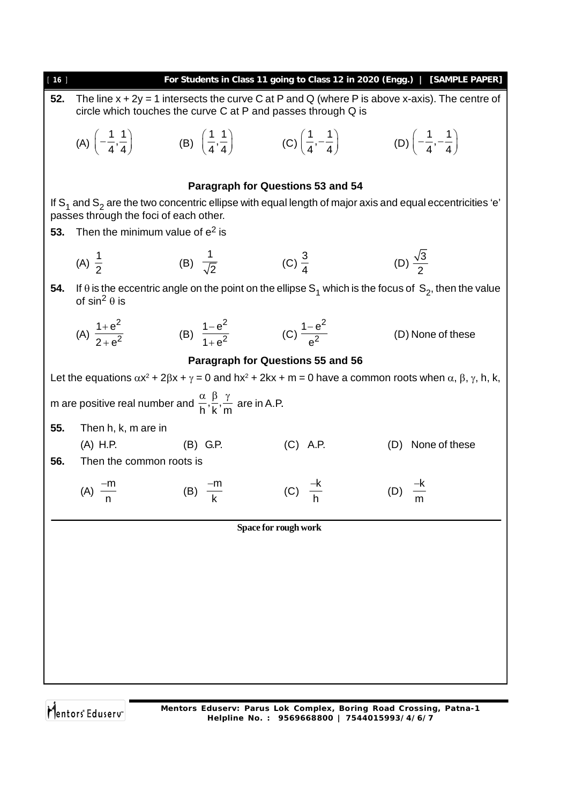| $[16]$ |                                                                              |                                                                                                  |                                                                                                                                                                                     | For Students in Class 11 going to Class 12 in 2020 (Engg.)   [SAMPLE PAPER]                                                                    |
|--------|------------------------------------------------------------------------------|--------------------------------------------------------------------------------------------------|-------------------------------------------------------------------------------------------------------------------------------------------------------------------------------------|------------------------------------------------------------------------------------------------------------------------------------------------|
| 52.    |                                                                              | circle which touches the curve C at P and passes through Q is                                    |                                                                                                                                                                                     | The line $x + 2y = 1$ intersects the curve C at P and Q (where P is above x-axis). The centre of                                               |
|        |                                                                              |                                                                                                  | (A) $\left(-\frac{1}{4}, \frac{1}{4}\right)$ (B) $\left(\frac{1}{4}, \frac{1}{4}\right)$ (C) $\left(\frac{1}{4}, -\frac{1}{4}\right)$ (D) $\left(-\frac{1}{4}, -\frac{1}{4}\right)$ |                                                                                                                                                |
|        |                                                                              | Paragraph for Questions 53 and 54                                                                |                                                                                                                                                                                     |                                                                                                                                                |
|        |                                                                              |                                                                                                  |                                                                                                                                                                                     | If $S_1$ and $S_2$ are the two concentric ellipse with equal length of major axis and equal eccentricities 'e'                                 |
| 53.    | passes through the foci of each other.<br>Then the minimum value of $e^2$ is |                                                                                                  |                                                                                                                                                                                     |                                                                                                                                                |
|        | (A) $\frac{1}{2}$                                                            | (B) $\frac{1}{\sqrt{2}}$                                                                         | (C) $\frac{3}{4}$                                                                                                                                                                   | (D) $\frac{\sqrt{3}}{2}$                                                                                                                       |
| 54.    | of $sin^2 \theta$ is                                                         |                                                                                                  |                                                                                                                                                                                     | If $\theta$ is the eccentric angle on the point on the ellipse S <sub>1</sub> which is the focus of S <sub>2</sub> , then the value            |
|        | (A) $\frac{1+e^2}{2+e^2}$                                                    | (B) $\frac{1-e^2}{1+e^2}$ (C) $\frac{1-e^2}{e^2}$                                                |                                                                                                                                                                                     | (D) None of these                                                                                                                              |
|        |                                                                              | <b>Paragraph for Questions 55 and 56</b>                                                         |                                                                                                                                                                                     |                                                                                                                                                |
|        |                                                                              |                                                                                                  |                                                                                                                                                                                     | Let the equations $\alpha x^2 + 2\beta x + \gamma = 0$ and $hx^2 + 2kx + m = 0$ have a common roots when $\alpha$ , $\beta$ , $\gamma$ , h, k, |
|        |                                                                              | m are positive real number and $\frac{\alpha}{h}, \frac{\beta}{k}, \frac{\gamma}{m}$ are in A.P. |                                                                                                                                                                                     |                                                                                                                                                |
| 55.    | Then h, k, m are in                                                          |                                                                                                  |                                                                                                                                                                                     |                                                                                                                                                |
| 56.    | (A) H.P.<br>Then the common roots is                                         | (B) G.P.                                                                                         | $(C)$ A.P.                                                                                                                                                                          | None of these<br>(D)                                                                                                                           |
|        |                                                                              |                                                                                                  |                                                                                                                                                                                     |                                                                                                                                                |
|        | (A) $\frac{-m}{n}$                                                           | (B) $\frac{-m}{k}$                                                                               | (C) $\frac{-K}{h}$                                                                                                                                                                  | (D) $\frac{-k}{ }$                                                                                                                             |
|        |                                                                              |                                                                                                  | Space for rough work                                                                                                                                                                |                                                                                                                                                |
|        |                                                                              |                                                                                                  |                                                                                                                                                                                     |                                                                                                                                                |
|        |                                                                              |                                                                                                  |                                                                                                                                                                                     |                                                                                                                                                |
|        |                                                                              |                                                                                                  |                                                                                                                                                                                     |                                                                                                                                                |
|        |                                                                              |                                                                                                  |                                                                                                                                                                                     |                                                                                                                                                |
|        |                                                                              |                                                                                                  |                                                                                                                                                                                     |                                                                                                                                                |
|        |                                                                              |                                                                                                  |                                                                                                                                                                                     |                                                                                                                                                |
|        |                                                                              |                                                                                                  |                                                                                                                                                                                     |                                                                                                                                                |

Mentors<sup>®</sup> Eduserv<sup>®</sup>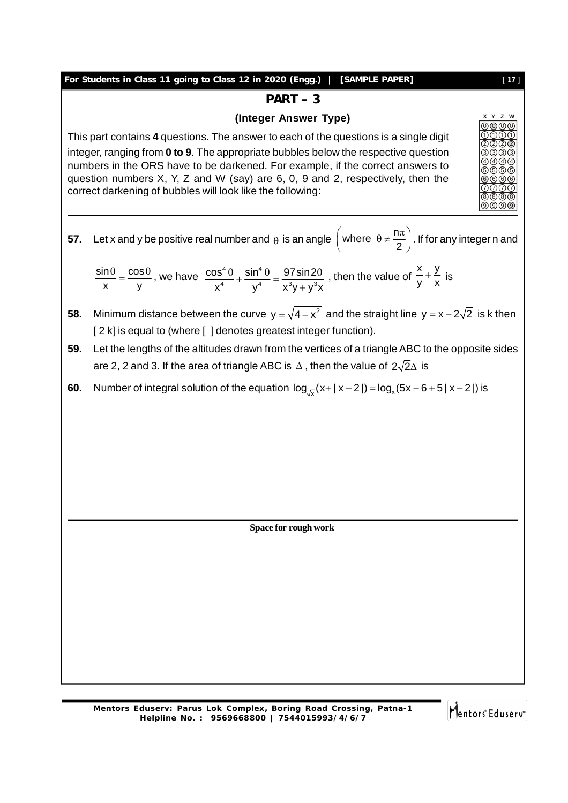#### **For Students in Class 11 going to Class 12 in 2020 (Engg.) | [SAMPLE PAPER]** [ **17** ]

#### **PART – 3**

#### **(Integer Answer Type)**

This part contains **4** questions. The answer to each of the questions is a single digit integer, ranging from **0 to 9**. The appropriate bubbles below the respective question numbers in the ORS have to be darkened. For example, if the correct answers to question numbers X, Y, Z and W (say) are 6, 0, 9 and 2, respectively, then the correct darkening of bubbles will look like the following:



$$
\frac{\sin \theta}{x} = \frac{\cos \theta}{y}
$$
, we have  $\frac{\cos^4 \theta}{x^4} + \frac{\sin^4 \theta}{y^4} = \frac{97 \sin 2\theta}{x^3 y + y^3 x}$ , then the value of  $\frac{x}{y} + \frac{y}{x}$  is

- **58.** Minimum distance between the curve  $y = \sqrt{4-x^2}$  and the straight line  $y = x 2\sqrt{2}$  is k then [ 2 k] is equal to (where [ ] denotes greatest integer function).
- **59.** Let the lengths of the altitudes drawn from the vertices of a triangle ABC to the opposite sides are 2, 2 and 3. If the area of triangle ABC is  $\Delta$ , then the value of  $2\sqrt{2}\Delta$  is
- **60.** Number of integral solution of the equation  $\log_{\sqrt{x}}(x+|x-2|) = \log_x(5x-6+5|x-2|)$  is

**Space for rough work**

Mentors Eduserv

0 0 0 1) (1) (1  $2)(2)(2)$ 3) (3) (3 4) (4) (4 5) (5) (5 6 (6 7) (7) (7 8 (8 (8 9 (9

**X Y Z W**